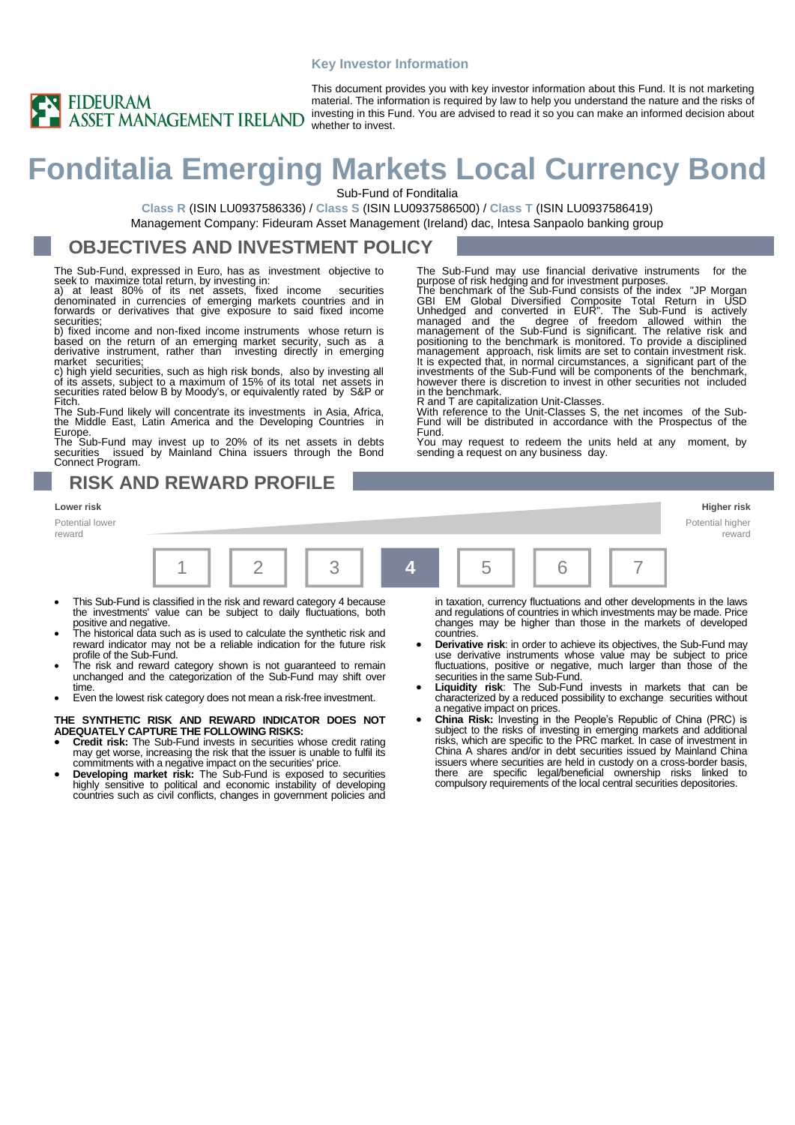#### **Key Investor Information**



This document provides you with key investor information about this Fund. It is not marketing material. The information is required by law to help you understand the nature and the risks of investing in this Fund. You are advised to read it so you can make an informed decision about

# **Fonditalia Emerging Markets Local Currency Bond**

Sub-Fund of Fonditalia

**Class R** (ISIN LU0937586336) / **Class S** (ISIN LU0937586500) / **Class T** (ISIN LU0937586419) Management Company: Fideuram Asset Management (Ireland) dac, Intesa Sanpaolo banking group

## **OBJECTIVES AND INVESTMENT POLICY**

The Sub-Fund, expressed in Euro, has as investment objective to

seek to maximize total return, by investing in: a) at least 80% of its net assets, fixed income securities denominated in currencies of emerging markets countries and in forwards or derivatives that give exposure to said fixed income securities;

b) fixed income and non-fixed income instruments whose return is based on the return of an emerging market security, such as a derivative instrument, rather than investing directly in emerging

market securities;<br>c) high yield securities, such as high risk bonds, also by investing all<br>of its assets, subject to a maximum of 15% of its total net assets in<br>securities rated below B by Moody's, or equivalently rated b Fitch.

The Sub-Fund likely will concentrate its investments in Asia, Africa, the Middle East, Latin America and the Developing Countries

Europe<br>The Su The Sub-Fund may invest up to 20% of its net assets in debts securities issued by Mainland China issuers through the Bond Connect Program.

## **RISK AND REWARD PROFILE**

#### **Lower risk Higher risk**

Potential lower reward



Fund.

in the benchmark.

sending a request on any business day.

- This Sub-Fund is classified in the risk and reward category 4 because the investments' value can be subject to daily fluctuations, both
- positive and negative. The historical data such as is used to calculate the synthetic risk and reward indicator may not be a reliable indication for the future risk
- profile of the Sub-Fund. The risk and reward category shown is not guaranteed to remain unchanged and the categorization of the Sub-Fund may shift over time.
- Even the lowest risk category does not mean a risk-free investment.

#### **THE SYNTHETIC RISK AND REWARD INDICATOR DOES NOT ADEQUATELY CAPTURE THE FOLLOWING RISKS:**

- **Credit risk:** The Sub-Fund invests in securities whose credit rating may get worse, increasing the risk that the issuer is unable to fulfil its commitments with a negative impact on the securities' price.
- **Developing market risk:** The Sub-Fund is exposed to securities highly sensitive to political and economic instability of developing countries such as civil conflicts, changes in government policies and

in taxation, currency fluctuations and other developments in the laws and regulations of countries in which investments may be made. Price changes may be higher than those in the markets of developed countries.

The Sub-Fund may use financial derivative instruments for the

purpose of risk hedging and for investment purposes.<br>The benchmark of the Sub-Fund consists of the index "JP Morgan<br>GBI EM Global Diversified Composite Total Return in USD<br>Unhedged and converted in EUR". The Sub-Fund is ac

management approach, risk limits are set to contain investment risk. It is expected that, in normal circumstances, a significant part of the investments of the Sub-Fund will be components of the benchmark, however there is discretion to invest in other securities not included

R and T are capitalization Unit-Classes. With reference to the Unit-Classes S, the net incomes of the Sub-Fund will be distributed in accordance with the Prospectus of the

You may request to redeem the units held at any moment, by

- **Derivative risk**: in order to achieve its objectives, the Sub-Fund may use derivative instruments whose value may be subject to price fluctuations, positive or negative, much larger than those of the
- securities in the same Sub-Fund. **Liquidity risk**: The Sub-Fund invests in markets that can be characterized by a reduced possibility to exchange securities without a negative impact on prices.
- **China Risk:** Investing in the People's Republic of China (PRC) is subject to the risks of investing in emerging markets and additional risks, which are specific to the PRC market. In case of investment in China A shares and/or in debt securities issued by Mainland China issuers where securities are held in custody on a cross-border basis, there are specific legal/beneficial ownership risks linked to compulsory requirements of the local central securities depositories.